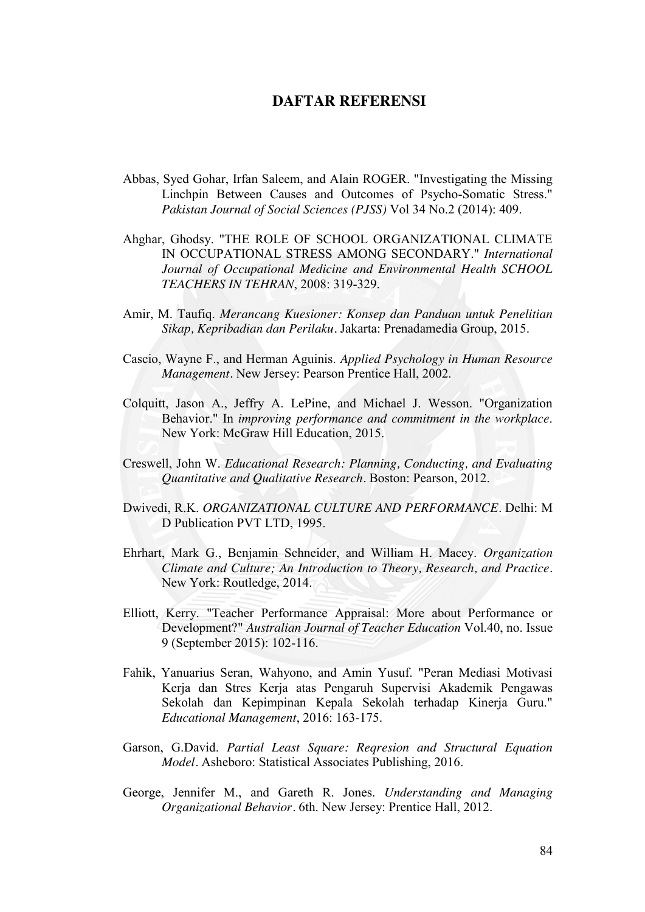## **DAFTAR REFERENSI**

- Abbas, Syed Gohar, Irfan Saleem, and Alain ROGER. "Investigating the Missing Linchpin Between Causes and Outcomes of Psycho-Somatic Stress." *Pakistan Journal of Social Sciences (PJSS)* Vol 34 No.2 (2014): 409.
- Ahghar, Ghodsy. "THE ROLE OF SCHOOL ORGANIZATIONAL CLIMATE IN OCCUPATIONAL STRESS AMONG SECONDARY." *International Journal of Occupational Medicine and Environmental Health SCHOOL TEACHERS IN TEHRAN*, 2008: 319-329.
- Amir, M. Taufiq. *Merancang Kuesioner: Konsep dan Panduan untuk Penelitian Sikap, Kepribadian dan Perilaku.* Jakarta: Prenadamedia Group, 2015.
- Cascio, Wayne F., and Herman Aguinis. *Applied Psychology in Human Resource Management.* New Jersey: Pearson Prentice Hall, 2002.
- Colquitt, Jason A., Jeffry A. LePine, and Michael J. Wesson. "Organization Behavior." In *improving performance and commitment in the workplace*. New York: McGraw Hill Education, 2015.
- Creswell, John W. *Educational Research: Planning, Conducting, and Evaluating Quantitative and Qualitative Research.* Boston: Pearson, 2012.
- Dwivedi, R.K. *ORGANIZATIONAL CULTURE AND PERFORMANCE.* Delhi: M D Publication PVT LTD, 1995.
- Ehrhart, Mark G., Benjamin Schneider, and William H. Macey. *Organization Climate and Culture; An Introduction to Theory, Research, and Practice.* New York: Routledge, 2014.
- Elliott, Kerry. "Teacher Performance Appraisal: More about Performance or Development?" *Australian Journal of Teacher Education* Vol.40, no. Issue 9 (September 2015): 102-116.
- Fahik, Yanuarius Seran, Wahyono, and Amin Yusuf. "Peran Mediasi Motivasi Kerja dan Stres Kerja atas Pengaruh Supervisi Akademik Pengawas Sekolah dan Kepimpinan Kepala Sekolah terhadap Kinerja Guru." *Educational Management*, 2016: 163-175.
- Garson, G.David. *Partial Least Square: Reqresion and Structural Equation Model.* Asheboro: Statistical Associates Publishing, 2016.
- George, Jennifer M., and Gareth R. Jones. *Understanding and Managing Organizational Behavior.* 6th. New Jersey: Prentice Hall, 2012.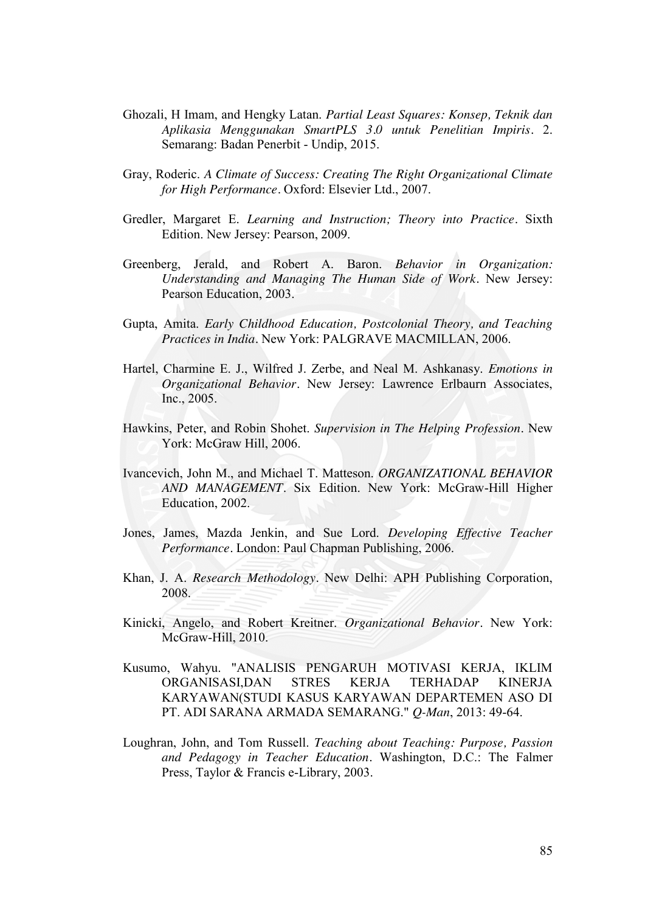- Ghozali, H Imam, and Hengky Latan. *Partial Least Squares: Konsep, Teknik dan Aplikasia Menggunakan SmartPLS 3.0 untuk Penelitian Impiris.* 2. Semarang: Badan Penerbit - Undip, 2015.
- Gray, Roderic. *A Climate of Success: Creating The Right Organizational Climate for High Performance.* Oxford: Elsevier Ltd., 2007.
- Gredler, Margaret E. *Learning and Instruction; Theory into Practice.* Sixth Edition. New Jersey: Pearson, 2009.
- Greenberg, Jerald, and Robert A. Baron. *Behavior in Organization: Understanding and Managing The Human Side of Work.* New Jersey: Pearson Education, 2003.
- Gupta, Amita. *Early Childhood Education, Postcolonial Theory, and Teaching Practices in India.* New York: PALGRAVE MACMILLAN, 2006.
- Hartel, Charmine E. J., Wilfred J. Zerbe, and Neal M. Ashkanasy. *Emotions in Organizational Behavior.* New Jersey: Lawrence Erlbaurn Associates, Inc., 2005.
- Hawkins, Peter, and Robin Shohet. *Supervision in The Helping Profession.* New York: McGraw Hill, 2006.
- Ivancevich, John M., and Michael T. Matteson. *ORGANIZATIONAL BEHAVIOR AND MANAGEMENT.* Six Edition. New York: McGraw-Hill Higher Education, 2002.
- Jones, James, Mazda Jenkin, and Sue Lord. *Developing Effective Teacher Performance.* London: Paul Chapman Publishing, 2006.
- Khan, J. A. *Research Methodology.* New Delhi: APH Publishing Corporation, 2008.
- Kinicki, Angelo, and Robert Kreitner. *Organizational Behavior.* New York: McGraw-Hill, 2010.
- Kusumo, Wahyu. "ANALISIS PENGARUH MOTIVASI KERJA, IKLIM ORGANISASI,DAN STRES KERJA TERHADAP KINERJA KARYAWAN(STUDI KASUS KARYAWAN DEPARTEMEN ASO DI PT. ADI SARANA ARMADA SEMARANG." *Q-Man*, 2013: 49-64.
- Loughran, John, and Tom Russell. *Teaching about Teaching: Purpose, Passion and Pedagogy in Teacher Education.* Washington, D.C.: The Falmer Press, Taylor & Francis e-Library, 2003.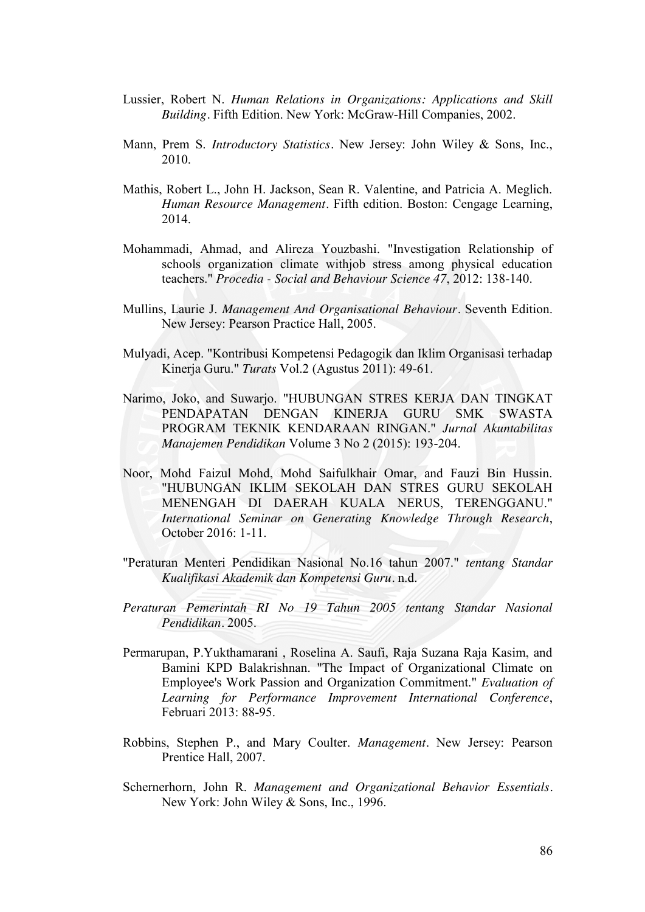- Lussier, Robert N. *Human Relations in Organizations: Applications and Skill Building.* Fifth Edition. New York: McGraw-Hill Companies, 2002.
- Mann, Prem S. *Introductory Statistics.* New Jersey: John Wiley & Sons, Inc., 2010.
- Mathis, Robert L., John H. Jackson, Sean R. Valentine, and Patricia A. Meglich. *Human Resource Management.* Fifth edition. Boston: Cengage Learning, 2014.
- Mohammadi, Ahmad, and Alireza Youzbashi. "Investigation Relationship of schools organization climate withjob stress among physical education teachers." *Procedia - Social and Behaviour Science 47*, 2012: 138-140.
- Mullins, Laurie J. *Management And Organisational Behaviour.* Seventh Edition. New Jersey: Pearson Practice Hall, 2005.
- Mulyadi, Acep. "Kontribusi Kompetensi Pedagogik dan Iklim Organisasi terhadap Kinerja Guru." *Turats* Vol.2 (Agustus 2011): 49-61.
- Narimo, Joko, and Suwarjo. "HUBUNGAN STRES KERJA DAN TINGKAT PENDAPATAN DENGAN KINERJA GURU SMK SWASTA PROGRAM TEKNIK KENDARAAN RINGAN." *Jurnal Akuntabilitas Manajemen Pendidikan* Volume 3 No 2 (2015): 193-204.
- Noor, Mohd Faizul Mohd, Mohd Saifulkhair Omar, and Fauzi Bin Hussin. "HUBUNGAN IKLIM SEKOLAH DAN STRES GURU SEKOLAH MENENGAH DI DAERAH KUALA NERUS, TERENGGANU." *International Seminar on Generating Knowledge Through Research*, October 2016: 1-11.
- "Peraturan Menteri Pendidikan Nasional No.16 tahun 2007." *tentang Standar Kualifikasi Akademik dan Kompetensi Guru.* n.d.
- *Peraturan Pemerintah RI No 19 Tahun 2005 tentang Standar Nasional Pendidikan.* 2005.
- Permarupan, P.Yukthamarani , Roselina A. Saufi, Raja Suzana Raja Kasim, and Bamini KPD Balakrishnan. "The Impact of Organizational Climate on Employee's Work Passion and Organization Commitment." *Evaluation of Learning for Performance Improvement International Conference*, Februari 2013: 88-95.
- Robbins, Stephen P., and Mary Coulter. *Management.* New Jersey: Pearson Prentice Hall, 2007.
- Schernerhorn, John R. *Management and Organizational Behavior Essentials.* New York: John Wiley & Sons, Inc., 1996.